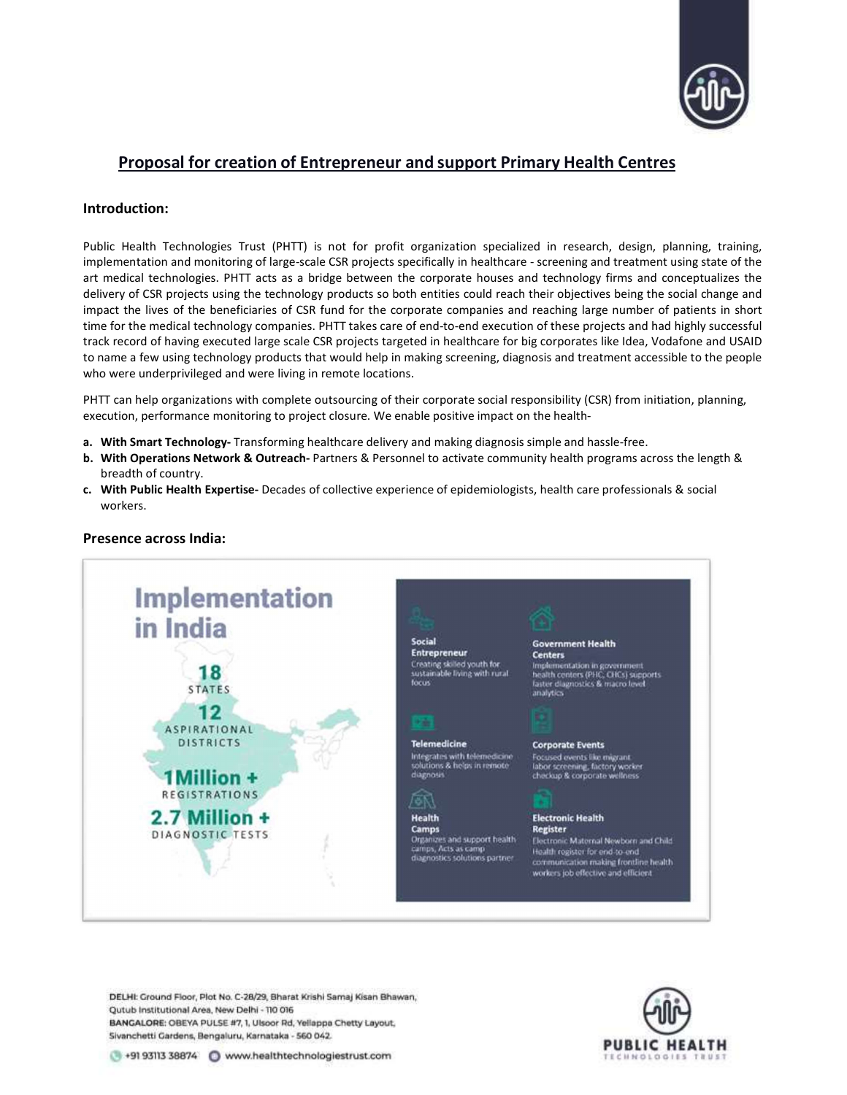

# Proposal for creation of Entrepreneur and support Primary Health Centres

## Introduction:

Public Health Technologies Trust (PHTT) is not for profit organization specialized in research, design, planning, training, implementation and monitoring of large-scale CSR projects specifically in healthcare - screening and treatment using state of the art medical technologies. PHTT acts as a bridge between the corporate houses and technology firms and conceptualizes the delivery of CSR projects using the technology products so both entities could reach their objectives being the social change and impact the lives of the beneficiaries of CSR fund for the corporate companies and reaching large number of patients in short time for the medical technology companies. PHTT takes care of end-to-end execution of these projects and had highly successful track record of having executed large scale CSR projects targeted in healthcare for big corporates like Idea, Vodafone and USAID to name a few using technology products that would help in making screening, diagnosis and treatment accessible to the people who were underprivileged and were living in remote locations.

PHTT can help organizations with complete outsourcing of their corporate social responsibility (CSR) from initiation, planning, execution, performance monitoring to project closure. We enable positive impact on the health-

- a. With Smart Technology- Transforming healthcare delivery and making diagnosis simple and hassle-free.
- b. With Operations Network & Outreach- Partners & Personnel to activate community health programs across the length & breadth of country.
- c. With Public Health Expertise- Decades of collective experience of epidemiologists, health care professionals & social workers.



# Presence across India:

DELHI: Ground Floor, Plot No. C-28/29, Bharat Krishi Samaj Kisan Bhawan, Qutub Institutional Area, New Delhi - 110 016 BANGALORE: OBEYA PULSE #7, 1, Ulsoor Rd, Yellappa Chetty Layout, Sivanchetti Gardens, Bengaluru, Karnataka - 560 042.

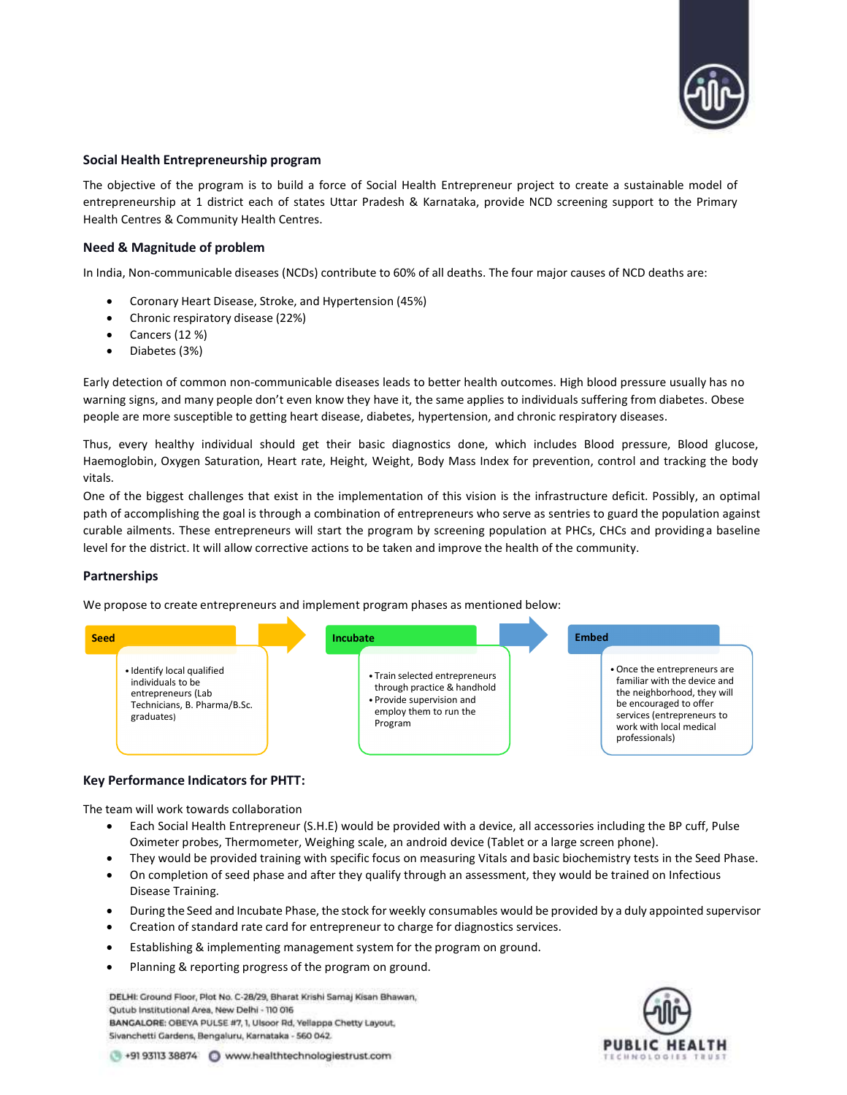

#### Social Health Entrepreneurship program

The objective of the program is to build a force of Social Health Entrepreneur project to create a sustainable model of entrepreneurship at 1 district each of states Uttar Pradesh & Karnataka, provide NCD screening support to the Primary Health Centres & Community Health Centres.

# Need & Magnitude of problem

In India, Non-communicable diseases (NCDs) contribute to 60% of all deaths. The four major causes of NCD deaths are:

- Coronary Heart Disease, Stroke, and Hypertension (45%)
- Chronic respiratory disease (22%)
- Cancers (12 %)
- Diabetes (3%)

Early detection of common non-communicable diseases leads to better health outcomes. High blood pressure usually has no warning signs, and many people don't even know they have it, the same applies to individuals suffering from diabetes. Obese people are more susceptible to getting heart disease, diabetes, hypertension, and chronic respiratory diseases.

Thus, every healthy individual should get their basic diagnostics done, which includes Blood pressure, Blood glucose, Haemoglobin, Oxygen Saturation, Heart rate, Height, Weight, Body Mass Index for prevention, control and tracking the body vitals.

One of the biggest challenges that exist in the implementation of this vision is the infrastructure deficit. Possibly, an optimal path of accomplishing the goal is through a combination of entrepreneurs who serve as sentries to guard the population against curable ailments. These entrepreneurs will start the program by screening population at PHCs, CHCs and providing a baseline level for the district. It will allow corrective actions to be taken and improve the health of the community.

#### Partnerships

We propose to create entrepreneurs and implement program phases as mentioned below:



#### Key Performance Indicators for PHTT:

The team will work towards collaboration

- Each Social Health Entrepreneur (S.H.E) would be provided with a device, all accessories including the BP cuff, Pulse Oximeter probes, Thermometer, Weighing scale, an android device (Tablet or a large screen phone).
- They would be provided training with specific focus on measuring Vitals and basic biochemistry tests in the Seed Phase.
- On completion of seed phase and after they qualify through an assessment, they would be trained on Infectious Disease Training.
- During the Seed and Incubate Phase, the stock for weekly consumables would be provided by a duly appointed supervisor
- Creation of standard rate card for entrepreneur to charge for diagnostics services.
- Establishing & implementing management system for the program on ground.
- Planning & reporting progress of the program on ground.

DELHI: Ground Floor, Plot No. C-28/29, Bharat Krishi Samaj Kisan Bhawan, Qutub Institutional Area, New Delhi - 110 016 BANGALORE: OBEYA PULSE #7, 1, Ulsoor Rd, Yellappa Chetty Layout, Sivanchetti Gardens, Bengaluru, Karnataka - 560 042.



+91 93113 38874 C www.healthtechnologiestrust.com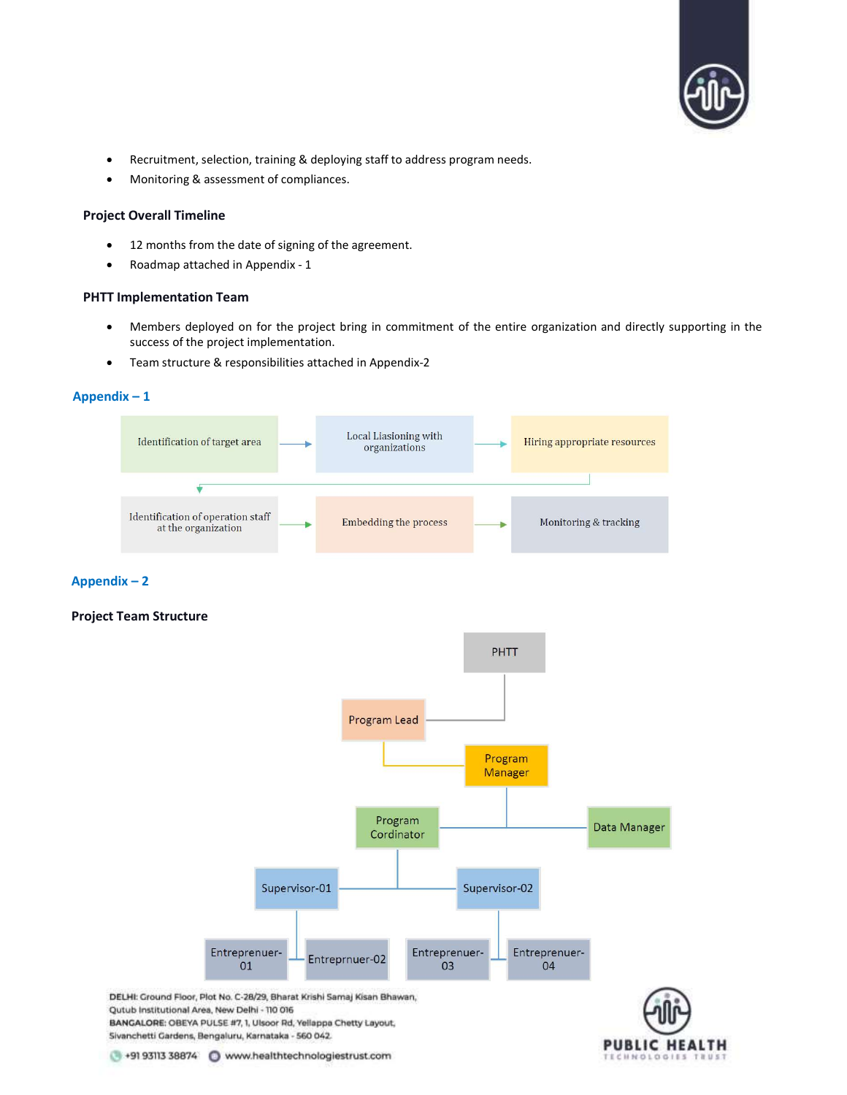

- Recruitment, selection, training & deploying staff to address program needs.
- Monitoring & assessment of compliances.

## Project Overall Timeline

- 12 months from the date of signing of the agreement.
- Roadmap attached in Appendix 1

## PHTT Implementation Team

- Members deployed on for the project bring in commitment of the entire organization and directly supporting in the success of the project implementation.
- Team structure & responsibilities attached in Appendix-2

#### Appendix – 1



## Appendix – 2

# Project Team Structure



**PUBLIC HEALTH** 

+91 93113 38874 Www.healthtechnologiestrust.com

BANGALORE: OBEYA PULSE #7, 1, Ulsoor Rd, Yellappa Chetty Layout,

Qutub Institutional Area, New Delhi - 110 016

Sivanchetti Gardens, Bengaluru, Karnataka - 560 042.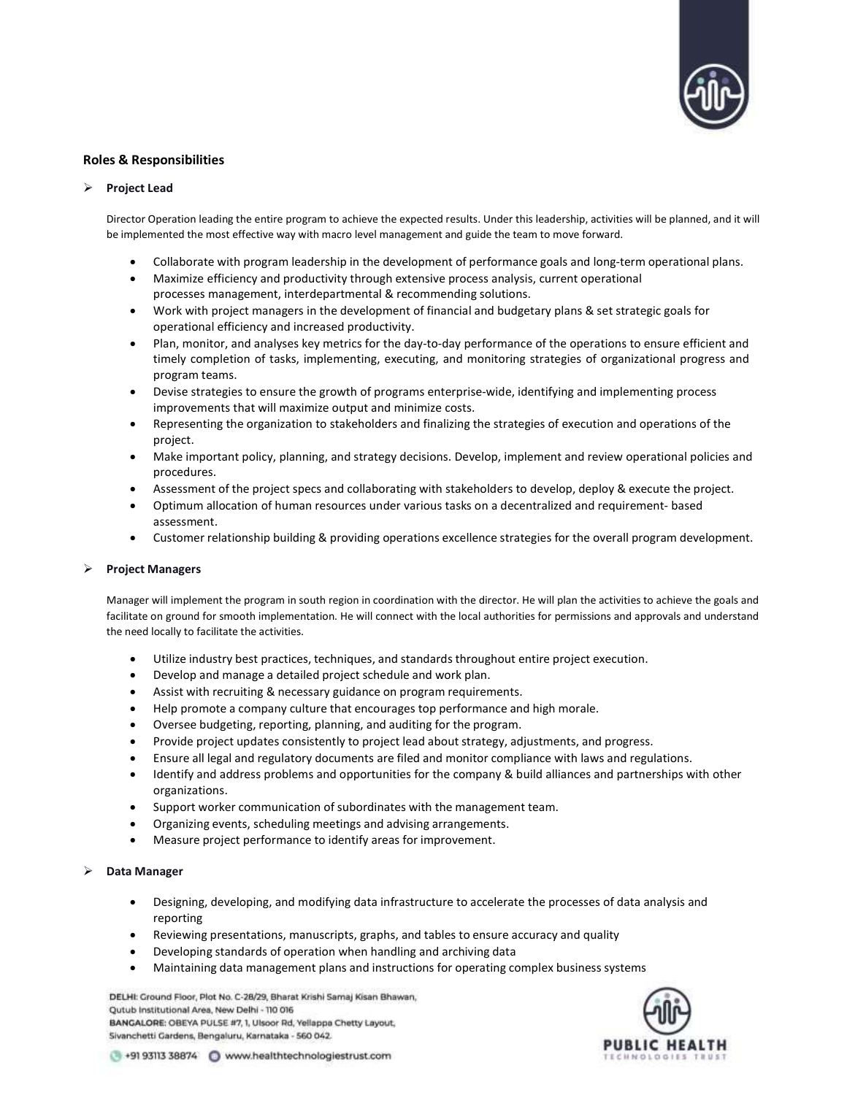

## Roles & Responsibilities

#### $\triangleright$  Project Lead

Director Operation leading the entire program to achieve the expected results. Under this leadership, activities will be planned, and it will be implemented the most effective way with macro level management and guide the team to move forward.

- Collaborate with program leadership in the development of performance goals and long-term operational plans.
- Maximize efficiency and productivity through extensive process analysis, current operational processes management, interdepartmental & recommending solutions.
- Work with project managers in the development of financial and budgetary plans & set strategic goals for operational efficiency and increased productivity.
- Plan, monitor, and analyses key metrics for the day-to-day performance of the operations to ensure efficient and timely completion of tasks, implementing, executing, and monitoring strategies of organizational progress and program teams.
- Devise strategies to ensure the growth of programs enterprise-wide, identifying and implementing process improvements that will maximize output and minimize costs.
- Representing the organization to stakeholders and finalizing the strategies of execution and operations of the project.
- Make important policy, planning, and strategy decisions. Develop, implement and review operational policies and procedures.
- Assessment of the project specs and collaborating with stakeholders to develop, deploy & execute the project.
- Optimum allocation of human resources under various tasks on a decentralized and requirement- based assessment.
- Customer relationship building & providing operations excellence strategies for the overall program development.

#### Project Managers

Manager will implement the program in south region in coordination with the director. He will plan the activities to achieve the goals and facilitate on ground for smooth implementation. He will connect with the local authorities for permissions and approvals and understand the need locally to facilitate the activities.

- Utilize industry best practices, techniques, and standards throughout entire project execution.
- Develop and manage a detailed project schedule and work plan.
- Assist with recruiting & necessary guidance on program requirements.
- Help promote a company culture that encourages top performance and high morale.
- Oversee budgeting, reporting, planning, and auditing for the program.
- Provide project updates consistently to project lead about strategy, adjustments, and progress.
- Ensure all legal and regulatory documents are filed and monitor compliance with laws and regulations.
- Identify and address problems and opportunities for the company & build alliances and partnerships with other organizations.
- Support worker communication of subordinates with the management team.
- Organizing events, scheduling meetings and advising arrangements.
- Measure project performance to identify areas for improvement.

#### Data Manager

- Designing, developing, and modifying data infrastructure to accelerate the processes of data analysis and reporting
- Reviewing presentations, manuscripts, graphs, and tables to ensure accuracy and quality
- Developing standards of operation when handling and archiving data
- Maintaining data management plans and instructions for operating complex business systems

DELHI: Ground Floor, Plot No. C-28/29, Bharat Krishi Samaj Kisan Bhawan, Qutub Institutional Area, New Delhi - 110 016 BANGALORE: OBEYA PULSE #7, 1, Ulsoor Rd, Yellappa Chetty Layout, Sivanchetti Gardens, Bengaluru, Karnataka - 560 042.



+91 93113 38874 C www.healthtechnologiestrust.com